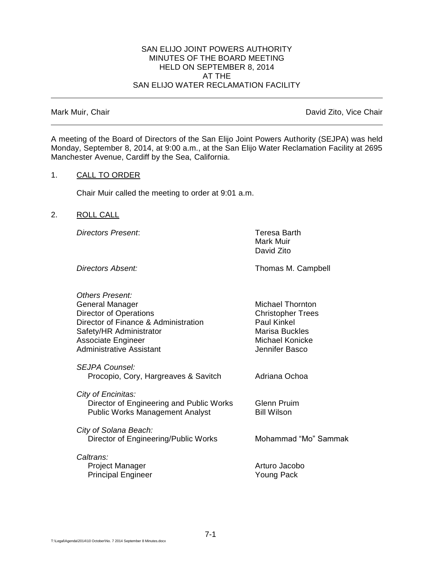#### SAN ELIJO JOINT POWERS AUTHORITY MINUTES OF THE BOARD MEETING HELD ON SEPTEMBER 8, 2014 AT THE SAN ELIJO WATER RECLAMATION FACILITY

Mark Muir, Chair **David Zito, Vice Chair** David Zito, Vice Chair

A meeting of the Board of Directors of the San Elijo Joint Powers Authority (SEJPA) was held Monday, September 8, 2014, at 9:00 a.m., at the San Elijo Water Reclamation Facility at 2695 Manchester Avenue, Cardiff by the Sea, California.

## 1. CALL TO ORDER

Chair Muir called the meeting to order at 9:01 a.m.

## 2. ROLL CALL

*Directors Present*: Teresa Barth

Mark Muir David Zito

**Directors Absent:** Thomas M. Campbell

*Others Present:* General Manager Michael Thornton Director of Operations Christopher Trees Director of Finance & Administration Paul Kinkel Safety/HR Administrator Marisa Buckles Associate Engineer Michael Konicke Administrative Assistant Jennifer Basco *SEJPA Counsel:* Procopio, Cory, Hargreaves & Savitch Adriana Ochoa *City of Encinitas:* Director of Engineering and Public Works Glenn Pruim Public Works Management Analyst Bill Wilson *City of Solana Beach:* Director of Engineering/Public Works Mohammad "Mo" Sammak *Caltrans:* Project Manager **Arturo Jacobo** Principal Engineer Young Pack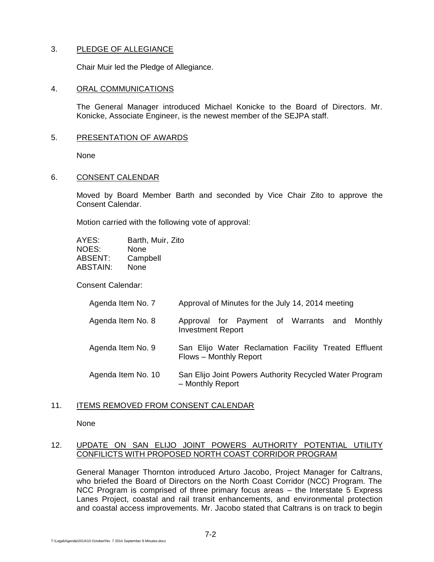# 3. PLEDGE OF ALLEGIANCE

Chair Muir led the Pledge of Allegiance.

#### 4. ORAL COMMUNICATIONS

The General Manager introduced Michael Konicke to the Board of Directors. Mr. Konicke, Associate Engineer, is the newest member of the SEJPA staff.

#### 5. PRESENTATION OF AWARDS

None

#### 6. CONSENT CALENDAR

Moved by Board Member Barth and seconded by Vice Chair Zito to approve the Consent Calendar.

Motion carried with the following vote of approval:

| AYES:    | Barth, Muir, Zito |
|----------|-------------------|
| NOES:    | None              |
| ABSENT:  | Campbell          |
| ABSTAIN: | None              |

Consent Calendar:

| Agenda Item No. 7 | Approval of Minutes for the July 14, 2014 meeting |
|-------------------|---------------------------------------------------|
|                   |                                                   |

- Agenda Item No. 8 Approval for Payment of Warrants and Monthly Investment Report
- Agenda Item No. 9 San Elijo Water Reclamation Facility Treated Effluent Flows – Monthly Report
- Agenda Item No. 10 San Elijo Joint Powers Authority Recycled Water Program – Monthly Report

### 11. ITEMS REMOVED FROM CONSENT CALENDAR

None

# 12. UPDATE ON SAN ELIJO JOINT POWERS AUTHORITY POTENTIAL UTILITY CONFILICTS WITH PROPOSED NORTH COAST CORRIDOR PROGRAM

General Manager Thornton introduced Arturo Jacobo, Project Manager for Caltrans, who briefed the Board of Directors on the North Coast Corridor (NCC) Program. The NCC Program is comprised of three primary focus areas – the Interstate 5 Express Lanes Project, coastal and rail transit enhancements, and environmental protection and coastal access improvements. Mr. Jacobo stated that Caltrans is on track to begin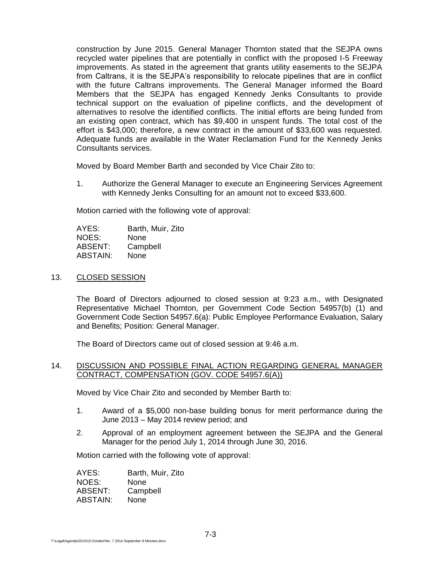construction by June 2015. General Manager Thornton stated that the SEJPA owns recycled water pipelines that are potentially in conflict with the proposed I-5 Freeway improvements. As stated in the agreement that grants utility easements to the SEJPA from Caltrans, it is the SEJPA's responsibility to relocate pipelines that are in conflict with the future Caltrans improvements. The General Manager informed the Board Members that the SEJPA has engaged Kennedy Jenks Consultants to provide technical support on the evaluation of pipeline conflicts, and the development of alternatives to resolve the identified conflicts. The initial efforts are being funded from an existing open contract, which has \$9,400 in unspent funds. The total cost of the effort is \$43,000; therefore, a new contract in the amount of \$33,600 was requested. Adequate funds are available in the Water Reclamation Fund for the Kennedy Jenks Consultants services.

Moved by Board Member Barth and seconded by Vice Chair Zito to:

1. Authorize the General Manager to execute an Engineering Services Agreement with Kennedy Jenks Consulting for an amount not to exceed \$33,600.

Motion carried with the following vote of approval:

AYES: Barth, Muir, Zito NOES: None ABSENT: Campbell ABSTAIN: None

## 13. CLOSED SESSION

The Board of Directors adjourned to closed session at 9:23 a.m., with Designated Representative Michael Thornton, per Government Code Section 54957(b) (1) and Government Code Section 54957.6(a): Public Employee Performance Evaluation, Salary and Benefits; Position: General Manager.

The Board of Directors came out of closed session at 9:46 a.m.

### 14. DISCUSSION AND POSSIBLE FINAL ACTION REGARDING GENERAL MANAGER CONTRACT, COMPENSATION (GOV. CODE 54957.6(A))

Moved by Vice Chair Zito and seconded by Member Barth to:

- 1. Award of a \$5,000 non-base building bonus for merit performance during the June 2013 – May 2014 review period; and
- 2. Approval of an employment agreement between the SEJPA and the General Manager for the period July 1, 2014 through June 30, 2016.

Motion carried with the following vote of approval:

| Barth, Muir, Zito |
|-------------------|
| None              |
| Campbell          |
| None              |
|                   |